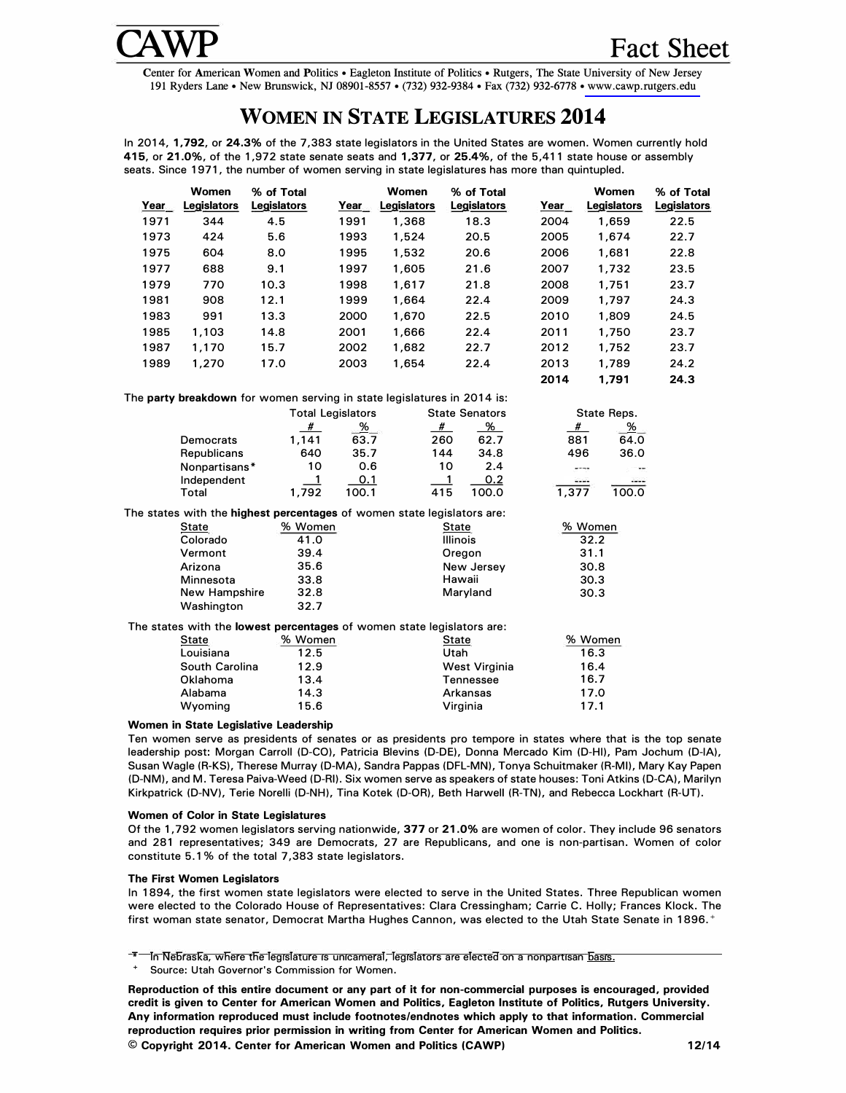

Center for American Women and Politics• Eagleton Institute of Politics• Rutgers, The State University of New Jersey 191 Ryders Lane• New Brunswick, NJ 08901-8557 • (732) 932-9384 • Fax (732) 932-6778 • [www.cawp.rutgers.edu](http://www.cawp.rutgers.edu) 

# **WOMEN IN STATE LEGISLATURES 2014**

In **2014,** 1,792, or 24.3% of the **7,383** state legislators in the United States are women. Women currently hold 415, or 21.0%, of the **1,972** state senate seats and 1,377, or 25.4%, of the **5,411** state house or assembly seats. Since **1971,** the number of women serving in state legislatures has more than quintupled.

|      | Women          | % of Total                                                              |                | Women         | % of Total            |       | Women               | % of Total  |  |
|------|----------------|-------------------------------------------------------------------------|----------------|---------------|-----------------------|-------|---------------------|-------------|--|
| Year | Legislators    | <b>Legislators</b>                                                      | Year           | Legislators   | Legislators           | Year  | Legislators         | Legislators |  |
| 1971 | 344            | 4.5                                                                     | 1991           | 1,368         | 18.3                  | 2004  | 1,659               | 22.5        |  |
| 1973 | 424            | 5.6                                                                     | 1993           | 1,524         | 20.5                  | 2005  | 1,674               | 22.7        |  |
| 1975 | 604            | 8.0                                                                     | 1995           | 1,532         | 20.6                  | 2006  | 1,681               | 22.8        |  |
| 1977 | 688            | 9.1                                                                     | 1997           | 1,605         | 21.6                  | 2007  | 1,732               | 23.5        |  |
| 1979 | 770            | 10.3                                                                    | 1998           | 1,617         | 21.8                  | 2008  | 1,751               | 23.7        |  |
| 1981 | 908            | 12.1                                                                    | 1999           | 1,664         | 22.4                  | 2009  | 1,797               | 24.3        |  |
| 1983 | 991            | 13.3                                                                    | 2000           | 1,670         | 22.5                  | 2010  | 1,809               | 24.5        |  |
| 1985 | 1,103          | 14.8                                                                    | 2001           | 1,666         | 22.4                  | 2011  | 1,750               | 23.7        |  |
| 1987 | 1,170          | 15.7                                                                    | 2002           | 1,682         | 22.7                  | 2012  | 1,752               | 23.7        |  |
| 1989 | 1,270          | 17.0                                                                    | 2003           | 1,654         | 22.4                  | 2013  | 1,789               | 24.2        |  |
|      |                |                                                                         |                |               |                       | 2014  | 1,791               | 24.3        |  |
|      |                | The party breakdown for women serving in state legislatures in 2014 is: |                |               |                       |       |                     |             |  |
|      |                | <b>Total Legislators</b>                                                |                |               | <b>State Senators</b> |       | State Reps.         |             |  |
|      |                | #                                                                       | $\frac{96}{1}$ |               | #<br><u>% </u>        |       | %<br>#              |             |  |
|      | Democrats      | 1,141                                                                   | 63.7           |               | 260<br>62.7           |       | 881<br>64.0         |             |  |
|      | Republicans    | 640                                                                     | 35.7           |               | 34.8<br>144           |       | 36.0<br>496         |             |  |
|      | Nonpartisans*  | 10                                                                      | 0.6            |               | 10<br>2.4             |       | $- - - -$<br>----   |             |  |
|      | Independent    | $\mathbf{1}$                                                            | 0.1            |               | 0.2<br>1              |       | ----<br>$100 - 100$ |             |  |
|      | Total          | 1,792                                                                   | 100.1          | 415           | 100.0                 | 1,377 | 100.0               |             |  |
|      |                | The states with the highest percentages of women state legislators are: |                |               |                       |       |                     |             |  |
|      | <b>State</b>   | % Women                                                                 | State          |               |                       |       | % Women             |             |  |
|      | Colorado       | 41.0                                                                    |                |               | <b>Illinois</b>       |       | 32.2                |             |  |
|      | Vermont        | 39.4                                                                    | Oregon         |               |                       |       | 31.1                |             |  |
|      | Arizona        | 35.6                                                                    | New Jersey     |               |                       |       | 30.8                |             |  |
|      | Minnesota      | 33.8                                                                    |                | Hawaii        |                       |       | 30.3                |             |  |
|      | New Hampshire  | 32.8                                                                    |                |               | Maryland              |       | 30.3                |             |  |
|      | Washington     | 32.7                                                                    |                |               |                       |       |                     |             |  |
|      |                | The states with the lowest percentages of women state legislators are:  |                |               |                       |       |                     |             |  |
|      | State          | % Women                                                                 |                |               | <b>State</b>          |       | % Women             |             |  |
|      | Louisiana      | 12.5                                                                    |                |               | Utah                  |       | 16.3                |             |  |
|      | South Carolina |                                                                         |                | West Virginia |                       | 16.4  |                     |             |  |
|      | Oklahoma       | 13.4                                                                    |                |               | Tennessee             |       | 16.7                |             |  |
|      | Alabama        | 14.3                                                                    |                | Arkansas      |                       | 17.0  |                     |             |  |
|      | Wyoming        | 15.6                                                                    |                |               | Virginia              |       | 17.1                |             |  |
|      |                |                                                                         |                |               |                       |       |                     |             |  |

#### **Women in State Legislative Leadership**

Ten women serve as presidents of senates or as presidents pro tempore in states where that is the top senate leadership post: Morgan Carroll (D-CO), Patricia Blevins (D-DE), Donna Mercado Kim (D-HI), Pam Jochum (D-IA), Susan Wagle (R-KS), Therese Murray (D-MA), Sandra Pappas (DFL-MN), Tonya Schuitmaker (R-MI), Mary Kay Papen (D-NM), and M. Teresa Paiva-Weed (D-RI). Six women serve as speakers of state houses: Toni Atkins (D-CA), Marilyn Kirkpatrick (D-NV), Terie Norelli (D-NH), Tina Kotek (D-OR). Beth Harwell (R-TN), and Rebecca Lockhart (R-UT).

### **Women of Color in State Legislatures**

Of the **1,792** women legislators serving nationwide, 377 or 21.0% are women of color. They include **96** senators and **281** representatives; **349** are Democrats, **27** are Republicans, and one is non-partisan. Women of color constitute **5.1 %** of the total **7,383** state legislators.

### **The First Women Legislators**

In **1894,** the first women state legislators were elected to serve in the United States. Three Republican women were elected to the Colorado House of Representatives: Clara Cressingham; Carrie C. Holly; Frances Klock. The first woman state senator, Democrat Martha Hughes Cannon, was elected to the Utah State Senate in **1896.** +

In Nebraska, where the legislature is unicameral, legislators are elected on a nonpartisan basis.

Source: Utah Governor's Commission for Women.

**Reproduction of this entire document or any part of it for non-commercial purposes is encouraged, provided credit is given to Center for American Women and Politics, Eagleton Institute of Politics, Rutgers University. Any information reproduced must include footnotes/endnotes which apply to that information. Commercial reproduction requires prior permission in writing from Center for American Women and Politics.** 

**© Copyright 2014. Center for American Women and Politics (CAWP) 12/14**